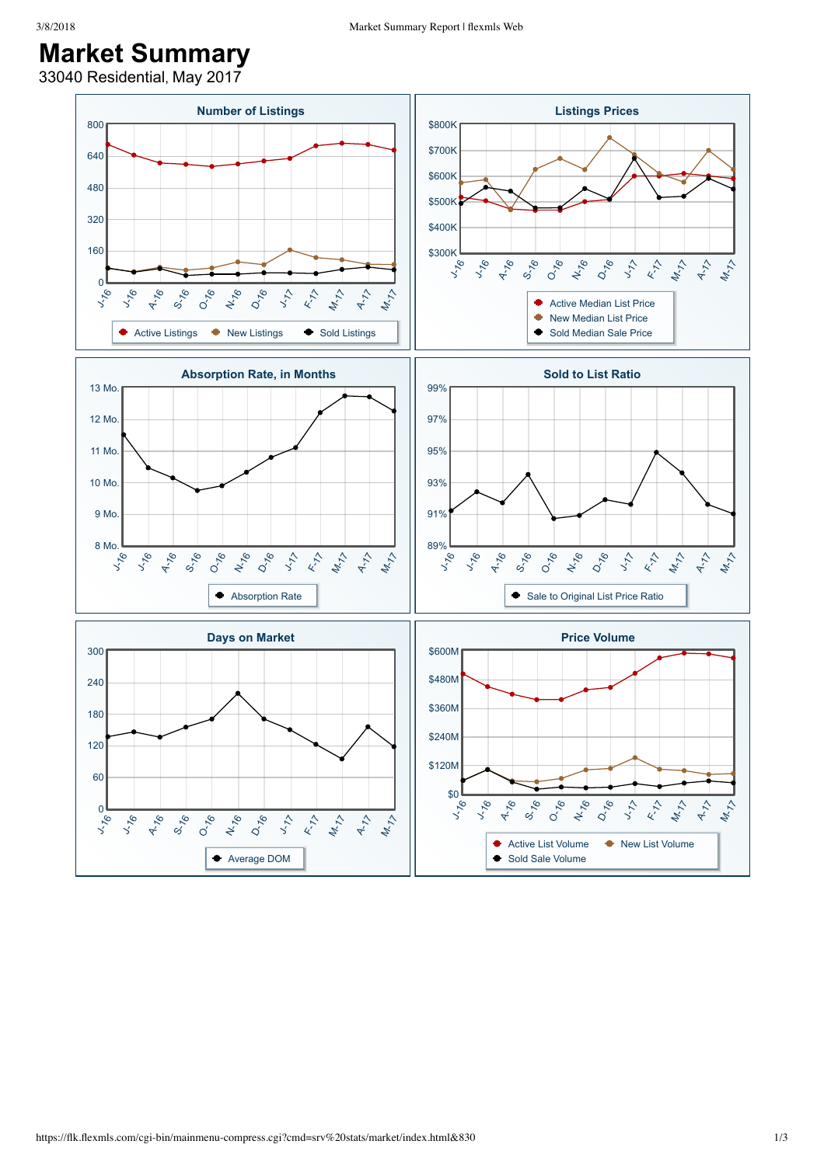## **Market Summary**

33040 Residential, May 2017

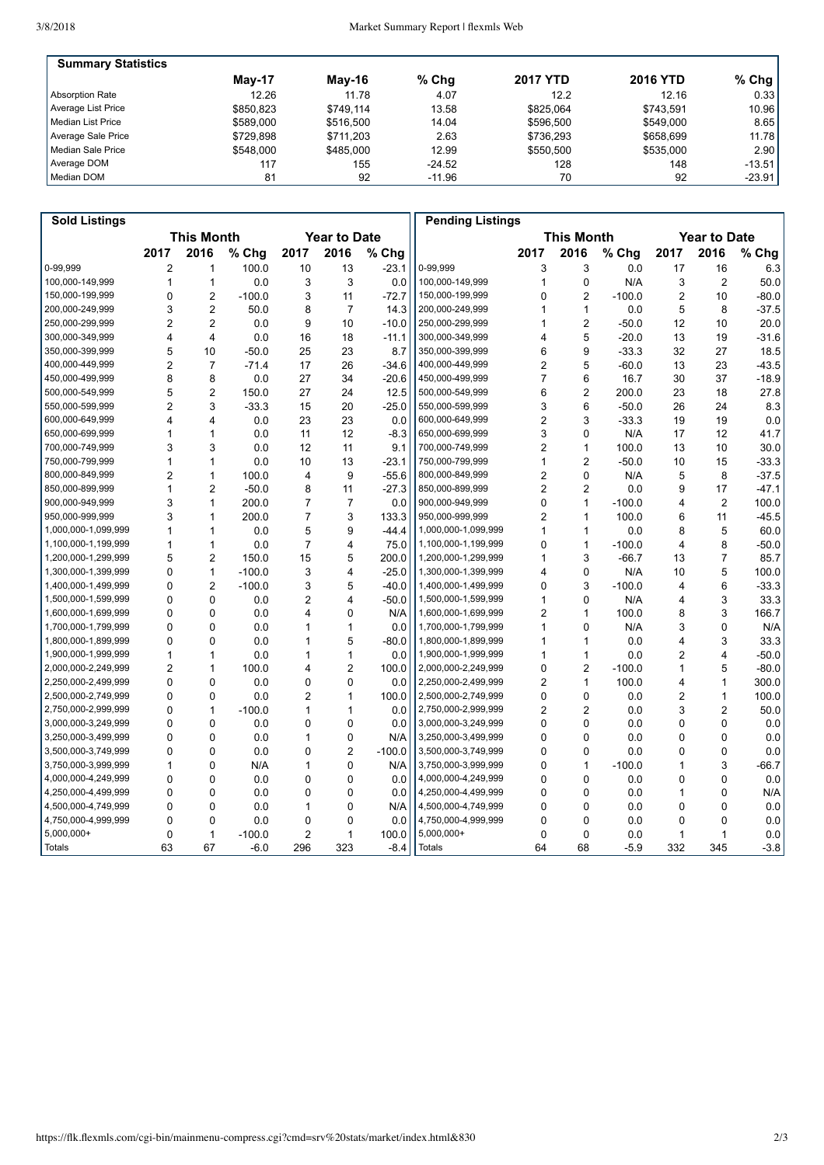| <b>Summary Statistics</b> |           |           |          |                 |                 |                   |
|---------------------------|-----------|-----------|----------|-----------------|-----------------|-------------------|
|                           | $May-17$  | Mav-16    | $%$ Chq  | <b>2017 YTD</b> | <b>2016 YTD</b> | % Chg $ $         |
| Absorption Rate           | 12.26     | 11.78     | 4.07     | 12.2            | 12.16           | 0.33              |
| Average List Price        | \$850.823 | \$749.114 | 13.58    | \$825.064       | \$743.591       | 10.96             |
| l Median List Price       | \$589,000 | \$516,500 | 14.04    | \$596,500       | \$549,000       | 8.65              |
| Average Sale Price        | \$729.898 | \$711.203 | 2.63     | \$736.293       | \$658.699       | 11.78             |
| Median Sale Price         | \$548,000 | \$485,000 | 12.99    | \$550.500       | \$535,000       | 2.90 <sub>1</sub> |
| Average DOM               | 117       | 155       | $-24.52$ | 128             | 148             | $-13.51$          |
| Median DOM                | 81        | 92        | $-11.96$ | 70              | 92              | $-23.91$          |

| <b>Sold Listings</b> |                                          |                         |          |                |                |          | <b>Pending Listings</b>                  |                |                |          |                |                |         |
|----------------------|------------------------------------------|-------------------------|----------|----------------|----------------|----------|------------------------------------------|----------------|----------------|----------|----------------|----------------|---------|
|                      | <b>This Month</b><br><b>Year to Date</b> |                         |          |                |                |          | <b>This Month</b><br><b>Year to Date</b> |                |                |          |                |                |         |
|                      | 2017                                     | 2016                    | % Chg    | 2017           | 2016           | % Chg    |                                          | 2017           | 2016           | % Chg    | 2017           | 2016           | % Chg   |
| 0-99.999             | 2                                        | 1                       | 100.0    | 10             | 13             | $-23.1$  | 0-99,999                                 | 3              | 3              | 0.0      | 17             | 16             | 6.3     |
| 100,000-149,999      | 1                                        | 1                       | 0.0      | 3              | 3              | 0.0      | 100,000-149,999                          | 1              | $\Omega$       | N/A      | 3              | $\overline{2}$ | 50.0    |
| 150.000-199.999      | 0                                        | $\overline{2}$          | $-100.0$ | 3              | 11             | $-72.7$  | 150,000-199,999                          | 0              | $\overline{c}$ | $-100.0$ | $\overline{2}$ | 10             | $-80.0$ |
| 200,000-249,999      | 3                                        | $\overline{2}$          | 50.0     | 8              | $\overline{7}$ | 14.3     | 200,000-249,999                          | 1              | 1              | 0.0      | 5              | 8              | $-37.5$ |
| 250,000-299,999      | $\overline{c}$                           | $\overline{2}$          | 0.0      | 9              | 10             | $-10.0$  | 250,000-299,999                          | 1              | $\overline{2}$ | $-50.0$  | 12             | 10             | 20.0    |
| 300,000-349,999      | 4                                        | $\overline{\mathbf{4}}$ | 0.0      | 16             | 18             | $-11.1$  | 300,000-349,999                          | 4              | 5              | $-20.0$  | 13             | 19             | $-31.6$ |
| 350,000-399,999      | 5                                        | 10                      | $-50.0$  | 25             | 23             | 8.7      | 350,000-399,999                          | 6              | 9              | $-33.3$  | 32             | 27             | 18.5    |
| 400,000-449,999      | $\overline{2}$                           | $\overline{7}$          | $-71.4$  | 17             | 26             | $-34.6$  | 400,000-449,999                          | $\overline{2}$ | 5              | $-60.0$  | 13             | 23             | $-43.5$ |
| 450,000-499,999      | 8                                        | 8                       | 0.0      | 27             | 34             | $-20.6$  | 450,000-499,999                          | $\overline{7}$ | 6              | 16.7     | 30             | 37             | $-18.9$ |
| 500,000-549,999      | 5                                        | $\overline{2}$          | 150.0    | 27             | 24             | 12.5     | 500,000-549,999                          | 6              | $\overline{a}$ | 200.0    | 23             | 18             | 27.8    |
| 550,000-599,999      | $\overline{c}$                           | 3                       | $-33.3$  | 15             | 20             | $-25.0$  | 550,000-599,999                          | 3              | 6              | $-50.0$  | 26             | 24             | 8.3     |
| 600,000-649,999      | 4                                        | 4                       | 0.0      | 23             | 23             | 0.0      | 600,000-649,999                          | $\overline{c}$ | 3              | $-33.3$  | 19             | 19             | 0.0     |
| 650,000-699,999      | 1                                        | 1                       | 0.0      | 11             | 12             | $-8.3$   | 650,000-699,999                          | 3              | 0              | N/A      | 17             | 12             | 41.7    |
| 700,000-749,999      | 3                                        | 3                       | 0.0      | 12             | 11             | 9.1      | 700,000-749,999                          | 2              | 1              | 100.0    | 13             | 10             | 30.0    |
| 750,000-799,999      | 1                                        | $\mathbf{1}$            | 0.0      | 10             | 13             | $-23.1$  | 750.000-799.999                          | 1              | $\overline{a}$ | $-50.0$  | 10             | 15             | $-33.3$ |
| 800,000-849,999      | $\overline{2}$                           | 1                       | 100.0    | 4              | 9              | $-55.6$  | 800,000-849,999                          | 2              | $\mathbf 0$    | N/A      | 5              | 8              | $-37.5$ |
| 850,000-899,999      | 1                                        | $\overline{2}$          | $-50.0$  | 8              | 11             | $-27.3$  | 850,000-899,999                          | $\overline{2}$ | $\overline{c}$ | 0.0      | 9              | 17             | $-47.1$ |
| 900,000-949,999      | 3                                        | $\mathbf{1}$            | 200.0    | $\overline{7}$ | $\overline{7}$ | 0.0      | 900,000-949,999                          | 0              | $\mathbf{1}$   | $-100.0$ | 4              | $\overline{2}$ | 100.0   |
| 950,000-999,999      | 3                                        | 1                       | 200.0    | 7              | 3              | 133.3    | 950,000-999,999                          | 2              | 1              | 100.0    | 6              | 11             | $-45.5$ |
| 1,000,000-1,099,999  | 1                                        | 1                       | 0.0      | 5              | 9              | $-44.4$  | 1,000,000-1,099,999                      | 1              | 1              | 0.0      | 8              | 5              | 60.0    |
| 1,100,000-1,199,999  | 1                                        | 1                       | 0.0      | $\overline{7}$ | 4              | 75.0     | 1,100,000-1,199,999                      | 0              | 1              | $-100.0$ | $\overline{4}$ | 8              | $-50.0$ |
| 1,200,000-1,299,999  | 5                                        | $\overline{2}$          | 150.0    | 15             | 5              | 200.0    | 1,200,000-1,299,999                      | 1              | 3              | $-66.7$  | 13             | $\overline{7}$ | 85.7    |
| 1,300,000-1,399,999  | 0                                        | $\mathbf{1}$            | $-100.0$ | 3              | 4              | $-25.0$  | 1,300,000-1,399,999                      | 4              | 0              | N/A      | 10             | 5              | 100.0   |
| 1,400,000-1,499,999  | 0                                        | 2                       | $-100.0$ | 3              | 5              | $-40.0$  | 1,400,000-1,499,999                      | 0              | 3              | $-100.0$ | $\overline{4}$ | 6              | $-33.3$ |
| 1,500,000-1,599,999  | 0                                        | 0                       | 0.0      | $\overline{2}$ | 4              | $-50.0$  | 1,500,000-1,599,999                      | 1              | 0              | N/A      | 4              | 3              | 33.3    |
| 1,600,000-1,699,999  | 0                                        | 0                       | 0.0      | 4              | 0              | N/A      | 1,600,000-1,699,999                      | 2              | 1              | 100.0    | 8              | 3              | 166.7   |
| 1,700,000-1,799,999  | 0                                        | 0                       | 0.0      | 1              | $\mathbf{1}$   | 0.0      | 1,700,000-1,799,999                      | 1              | 0              | N/A      | 3              | 0              | N/A     |
| 1,800,000-1,899,999  | 0                                        | 0                       | 0.0      | 1              | 5              | $-80.0$  | 1,800,000-1,899,999                      | 1              | 1              | 0.0      | $\overline{4}$ | 3              | 33.3    |
| 1,900,000-1,999,999  | 1                                        | 1                       | 0.0      | 1              | $\mathbf{1}$   | 0.0      | 1,900,000-1,999,999                      | 1              | 1              | 0.0      | 2              | 4              | $-50.0$ |
| 2,000,000-2,249,999  | $\overline{2}$                           | 1                       | 100.0    | 4              | $\overline{2}$ | 100.0    | 2,000,000-2,249,999                      | 0              | $\overline{2}$ | $-100.0$ | $\mathbf{1}$   | 5              | $-80.0$ |
| 2,250,000-2,499,999  | $\Omega$                                 | 0                       | 0.0      | 0              | $\Omega$       | 0.0      | 2,250,000-2,499,999                      | 2              | 1              | 100.0    | 4              | $\mathbf{1}$   | 300.0   |
| 2,500,000-2,749,999  | 0                                        | 0                       | 0.0      | $\overline{2}$ | $\mathbf{1}$   | 100.0    | 2,500,000-2,749,999                      | 0              | $\mathbf 0$    | 0.0      | 2              | $\mathbf{1}$   | 100.0   |
| 2,750,000-2,999,999  | 0                                        | 1                       | $-100.0$ | 1              | $\mathbf{1}$   | 0.0      | 2,750,000-2,999,999                      | $\overline{2}$ | $\overline{2}$ | 0.0      | 3              | $\overline{2}$ | 50.0    |
| 3,000,000-3,249,999  | 0                                        | $\Omega$                | 0.0      | 0              | 0              | 0.0      | 3,000,000-3,249,999                      | 0              | $\mathbf 0$    | 0.0      | 0              | $\mathbf{0}$   | 0.0     |
| 3,250,000-3,499,999  | 0                                        | 0                       | 0.0      | 1              | 0              | N/A      | 3,250,000-3,499,999                      | 0              | $\mathbf 0$    | 0.0      | 0              | 0              | 0.0     |
| 3,500,000-3,749,999  | 0                                        | $\Omega$                | 0.0      | 0              | $\overline{c}$ | $-100.0$ | 3,500,000-3,749,999                      | 0              | 0              | 0.0      | 0              | 0              | 0.0     |
| 3,750,000-3,999,999  | 1                                        | 0                       | N/A      | 1              | 0              | N/A      | 3,750,000-3,999,999                      | 0              | 1              | $-100.0$ | 1              | 3              | $-66.7$ |
| 4,000,000-4,249,999  | 0                                        | 0                       | 0.0      | 0              | 0              | 0.0      | 4,000,000-4,249,999                      | 0              | 0              | 0.0      | 0              | 0              | 0.0     |
| 4,250,000-4,499,999  | 0                                        | $\Omega$                | 0.0      | 0              | $\mathbf{0}$   | 0.0      | 4,250,000-4,499,999                      | 0              | $\Omega$       | 0.0      | 1              | $\Omega$       | N/A     |
| 4,500,000-4,749,999  | $\Omega$                                 | 0                       | 0.0      | 1              | 0              | N/A      | 4,500,000-4,749,999                      | 0              | $\Omega$       | 0.0      | $\Omega$       | 0              | 0.0     |
| 4,750,000-4,999,999  | 0                                        | 0                       | 0.0      | 0              | $\Omega$       | 0.0      | 4,750,000-4,999,999                      | 0              | $\Omega$       | 0.0      | $\Omega$       | 0              | 0.0     |
| $5,000,000+$         | 0                                        | 1                       | $-100.0$ | $\overline{2}$ | 1              | 100.0    | 5,000,000+                               | 0              | 0              | 0.0      | 1              | 1              | 0.0     |
| Totals               | 63                                       | 67                      | $-6.0$   | 296            | 323            | $-8.4$   | <b>Totals</b>                            | 64             | 68             | $-5.9$   | 332            | 345            | $-3.8$  |